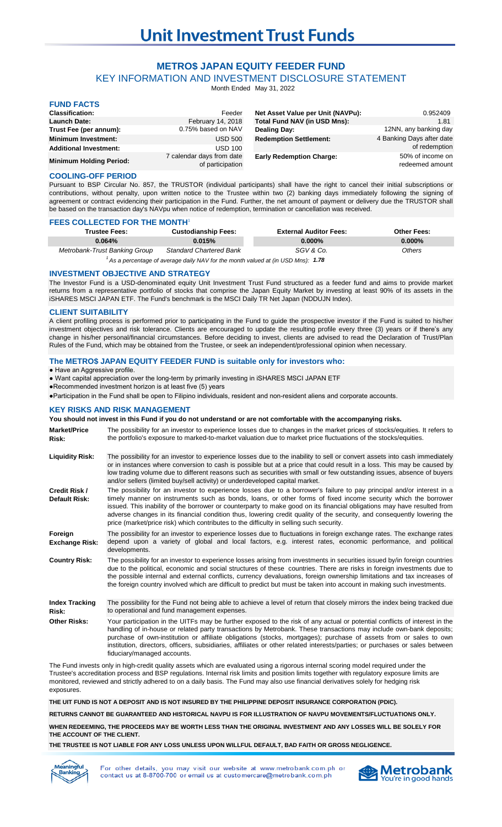# **METRO\$ JAPAN EQUITY FEEDER FUND**

KEY INFORMATION AND INVESTMENT DISCLOSURE STATEMENT

Month Ended May 31, 2022

| <b>FUND FACTS</b>              |                                               |                                   |                                     |
|--------------------------------|-----------------------------------------------|-----------------------------------|-------------------------------------|
| <b>Classification:</b>         | Feeder                                        | Net Asset Value per Unit (NAVPu): | 0.952409                            |
| <b>Launch Date:</b>            | February 14, 2018                             | Total Fund NAV (in USD Mns):      | 1.81                                |
| Trust Fee (per annum):         | 0.75% based on NAV                            | Dealing Day:                      | 12NN, any banking day               |
| <b>Minimum Investment:</b>     | <b>USD 500</b>                                | <b>Redemption Settlement:</b>     | 4 Banking Days after date           |
| <b>Additional Investment:</b>  | <b>USD 100</b>                                |                                   | of redemption                       |
| <b>Minimum Holding Period:</b> | 7 calendar days from date<br>of participation | <b>Early Redemption Charge:</b>   | 50% of income on<br>redeemed amount |

### **COOLING-OFF PERIOD**

Pursuant to BSP Circular No. 857, the TRUSTOR (individual participants) shall have the right to cancel their initial subscriptions or contributions, without penalty, upon written notice to the Trustee within two (2) banking days immediately following the signing of agreement or contract evidencing their participation in the Fund. Further, the net amount of payment or delivery due the TRUSTOR shall be based on the transaction day's NAVpu when notice of redemption, termination or cancellation was received.

### **FEES COLLECTED FOR THE MONTH**<sup>1</sup>

| <b>Trustee Fees:</b>                                                                         | <b>Custodianship Fees:</b>     | <b>External Auditor Fees:</b> | <b>Other Fees:</b> |
|----------------------------------------------------------------------------------------------|--------------------------------|-------------------------------|--------------------|
| 0.064%                                                                                       | 0.015%                         | $0.000\%$                     | $0.000\%$          |
| Metrobank-Trust Banking Group                                                                | <b>Standard Chartered Bank</b> | SGV & Co.                     | Others             |
| <sup>1</sup> As a percentage of average daily NAV for the month valued at (in USD Mns): 1.78 |                                |                               |                    |

### **INVESTMENT OBJECTIVE AND STRATEGY**

The Investor Fund is a USD-denominated equity Unit Investment Trust Fund structured as a feeder fund and aims to provide market returns from a representative portfolio of stocks that comprise the Japan Equity Market by investing at least 90% of its assets in the iSHARES MSCI JAPAN ETF. The Fund's benchmark is the MSCI Daily TR Net Japan (NDDUJN Index).

## **CLIENT SUITABILITY**

A client profiling process is performed prior to participating in the Fund to guide the prospective investor if the Fund is suited to his/her investment objectives and risk tolerance. Clients are encouraged to update the resulting profile every three (3) years or if there's any change in his/her personal/financial circumstances. Before deciding to invest, clients are advised to read the Declaration of Trust/Plan Rules of the Fund, which may be obtained from the Trustee, or seek an independent/professional opinion when necessary.

### **The METRO\$ JAPAN EQUITY FEEDER FUND is suitable only for investors who:**

● Have an Aggressive profile.

- Want capital appreciation over the long-term by primarily investing in iSHARES MSCI JAPAN ETF
- ●Recommended investment horizon is at least five (5) years

●Participation in the Fund shall be open to Filipino individuals, resident and non-resident aliens and corporate accounts.

### **KEY RISKS AND RISK MANAGEMENT**

### **You should not invest in this Fund if you do not understand or are not comfortable with the accompanying risks.**

| <b>Market/Price</b><br>Risk:     | The possibility for an investor to experience losses due to changes in the market prices of stocks/equities. It refers to<br>the portfolio's exposure to marked-to-market valuation due to market price fluctuations of the stocks/equities.                                                                                                                                                                                                                                                                                                                                             |
|----------------------------------|------------------------------------------------------------------------------------------------------------------------------------------------------------------------------------------------------------------------------------------------------------------------------------------------------------------------------------------------------------------------------------------------------------------------------------------------------------------------------------------------------------------------------------------------------------------------------------------|
| <b>Liquidity Risk:</b>           | The possibility for an investor to experience losses due to the inability to sell or convert assets into cash immediately<br>or in instances where conversion to cash is possible but at a price that could result in a loss. This may be caused by<br>low trading volume due to different reasons such as securities with small or few outstanding issues, absence of buyers<br>and/or sellers (limited buy/sell activity) or underdeveloped capital market.                                                                                                                            |
| Credit Risk /<br>Default Risk:   | The possibility for an investor to experience losses due to a borrower's failure to pay principal and/or interest in a<br>timely manner on instruments such as bonds, loans, or other forms of fixed income security which the borrower<br>issued. This inability of the borrower or counterparty to make good on its financial obligations may have resulted from<br>adverse changes in its financial condition thus, lowering credit quality of the security, and consequently lowering the<br>price (market/price risk) which contributes to the difficulty in selling such security. |
| Foreign<br><b>Exchange Risk:</b> | The possibility for an investor to experience losses due to fluctuations in foreign exchange rates. The exchange rates<br>depend upon a variety of global and local factors, e.g. interest rates, economic performance, and political<br>developments.                                                                                                                                                                                                                                                                                                                                   |
| <b>Country Risk:</b>             | The possibility for an investor to experience losses arising from investments in securities issued by/in foreign countries<br>due to the political, economic and social structures of these countries. There are risks in foreign investments due to<br>the possible internal and external conflicts, currency devaluations, foreign ownership limitations and tax increases of<br>the foreign country involved which are difficult to predict but must be taken into account in making such investments.                                                                                |
| <b>Index Tracking</b><br>Risk:   | The possibility for the Fund not being able to achieve a level of return that closely mirrors the index being tracked due<br>to operational and fund management expenses.                                                                                                                                                                                                                                                                                                                                                                                                                |
| <b>Other Risks:</b>              | Your participation in the UITFs may be further exposed to the risk of any actual or potential conflicts of interest in the<br>handling of in-house or related party transactions by Metrobank. These transactions may include own-bank deposits;<br>purchase of own-institution or affiliate obligations (stocks, mortgages); purchase of assets from or sales to own<br>institution, directors, officers, subsidiaries, affiliates or other related interests/parties; or purchases or sales between<br>fiduciary/managed accounts.                                                     |

The Fund invests only in high-credit quality assets which are evaluated using a rigorous internal scoring model required under the Trustee's accreditation process and BSP regulations. Internal risk limits and position limits together with regulatory exposure limits are monitored, reviewed and strictly adhered to on a daily basis. The Fund may also use financial derivatives solely for hedging risk exposures.

**THE UIT FUND IS NOT A DEPOSIT AND IS NOT INSURED BY THE PHILIPPINE DEPOSIT INSURANCE CORPORATION (PDIC).**

**RETURNS CANNOT BE GUARANTEED AND HISTORICAL NAVPU IS FOR ILLUSTRATION OF NAVPU MOVEMENTS/FLUCTUATIONS ONLY.**

**WHEN REDEEMING, THE PROCEEDS MAY BE WORTH LESS THAN THE ORIGINAL INVESTMENT AND ANY LOSSES WILL BE SOLELY FOR THE ACCOUNT OF THE CLIENT.**

**THE TRUSTEE IS NOT LIABLE FOR ANY LOSS UNLESS UPON WILLFUL DEFAULT, BAD FAITH OR GROSS NEGLIGENCE.**



For other details, you may visit our website at www.metrobank.com.ph or contact us at 8-8700-700 or email us at customercare@metrobank.com.ph

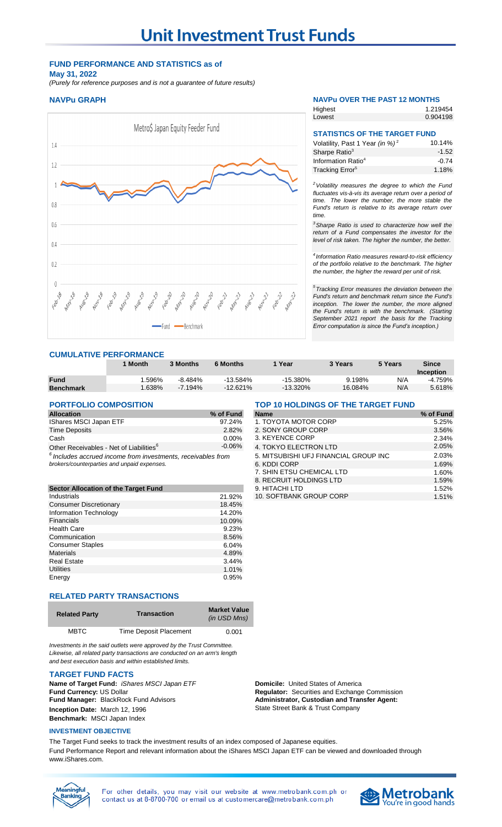## **FUND PERFORMANCE AND STATISTICS as of May 31, 2022**

*(Purely for reference purposes and is not a guarantee of future results)*



### **CUMULATIVE PERFORMANCE**

|                  | ' Month | 3 Months   | <b>6 Months</b> | Year        | 3 Years | 5 Years | Since     |
|------------------|---------|------------|-----------------|-------------|---------|---------|-----------|
|                  |         |            |                 |             |         |         | Inception |
| <b>Fund</b>      | .596%   | $-8.484\%$ | $-13.584\%$     | $-15.380\%$ | 9.198%  | N/A     | -4.759%   |
| <b>Benchmark</b> | .638%   | $-7.194\%$ | $-12.621%$      | $-13.320\%$ | 16.084% | N/A     | 5.618%    |

| <b>Allocation</b>                                                | % of Fund | <b>Name</b>                    | % of Fund |
|------------------------------------------------------------------|-----------|--------------------------------|-----------|
| <b>IShares MSCI Japan ETF</b>                                    | $97.24\%$ | 1. TOYOTA MOTOR CORP           | 5.25%     |
| Time Deposits                                                    | $2.82\%$  | 2. SONY GROUP CORP             | 3.56%     |
| Cash                                                             | 0.00%     | 3. KEYENCE CORP                | 2.34%     |
| Other Receivables - Net of Liabilities <sup>6</sup>              | $-0.06\%$ | 4. TOKYO ELECTRON LTD          | 2.05%     |
| $^{6}$ lnowdoo goorwad income from investments resolved les from |           | E MITCHRICHLIFTEINMOM CROIDING | 203%      |

|                                      |        | 0. ILOI OI LIULDINUU LID | 1.JJ/0 |
|--------------------------------------|--------|--------------------------|--------|
| Sector Allocation of the Target Fund |        | 9. HITACHI LTD           | 1.52%  |
| Industrials                          | 21.92% | 10. SOFTBANK GROUP CORP  | 1.51%  |
| <b>Consumer Discretionary</b>        | 18.45% |                          |        |
| Information Technology               | 14.20% |                          |        |
| Financials                           | 10.09% |                          |        |
| <b>Health Care</b>                   | 9.23%  |                          |        |
| Communication                        | 8.56%  |                          |        |
| <b>Consumer Staples</b>              | 6.04%  |                          |        |
| <b>Materials</b>                     | 4.89%  |                          |        |
| <b>Real Estate</b>                   | 3.44%  |                          |        |
| <b>Utilities</b>                     | 1.01%  |                          |        |
| Energy                               | 0.95%  |                          |        |
|                                      |        |                          |        |

## **RELATED PARTY TRANSACTIONS**

| <b>Related Party</b> | <b>Transaction</b>     | <b>Market Value</b><br>(in USD Mns) |
|----------------------|------------------------|-------------------------------------|
| <b>MBTC</b>          | Time Deposit Placement | 0.001                               |

*Investments in the said outlets were approved by the Trust Committee. Likewise, all related party transactions are conducted on an arm's length and best execution basis and within established limits.*

### **TARGET FUND FACTS**

**Name of Target Fund:** *iShares MSCI Japan ETF* **Domicile:** United States of America<br> **Fund Currency:** US Dollar **Domicile:** *Domicile: Regulator: Securities and Exchange* **Fund Manager:** BlackRock Fund Advisors **Inception Date:** March 12, 1996 **Benchmark:** MSCI Japan Index

### **INVESTMENT OBJECTIVE**

The Target Fund seeks to track the investment results of an index composed of Japanese equities. Fund Performance Report and relevant information about the iShares MSCI Japan ETF can be viewed and downloaded through www.iShares.com.

For other details, you may visit our website at www.metrobank.com.ph or contact us at 8-8700-700 or email us at customercare@metrobank.com.ph

# **NAVPu GRAPH NAVPu OVER THE PAST 12 MONTHS**

| Highest | 1.219454 |
|---------|----------|
| Lowest  | 0.904198 |

## **STATISTICS OF THE TARGET FUND**

| Volatility, Past 1 Year (in %) <sup>2</sup> | 10.14%  |
|---------------------------------------------|---------|
| Sharpe Ratio <sup>3</sup>                   | $-1.52$ |
| Information Ratio <sup>4</sup>              | $-0.74$ |
| Tracking Error <sup>5</sup>                 | 1.18%   |

*<sup>2</sup>Volatility measures the degree to which the Fund fluctuates vis-à-vis its average return over a period of time. The lower the number, the more stable the Fund's return is relative to its average return over time.* 

*<sup>3</sup>Sharpe Ratio is used to characterize how well the return of a Fund compensates the investor for the level of risk taken. The higher the number, the better.*

*4 Information Ratio measures reward-to-risk efficiency of the portfolio relative to the benchmark. The higher the number, the higher the reward per unit of risk.*

*5 Tracking Error measures the deviation between the Fund's return and benchmark return since the Fund's inception. The lower the number, the more aligned the Fund's return is with the benchmark. (Starting September 2021 report the basis for the Tracking Error computation is since the Fund's inception.)* 

**PORTFOLIO COMPOSITION TOP 10 HOLDINGS OF THE TARGET FUND** 

| <b>Allocation</b>                                                                                             | % of Fund | <b>Name</b>                           | % of Fund |
|---------------------------------------------------------------------------------------------------------------|-----------|---------------------------------------|-----------|
| IShares MSCI Japan ETF                                                                                        | 97.24%    | 1. TOYOTA MOTOR CORP                  | 5.25%     |
| Time Deposits                                                                                                 | 2.82%     | 2. SONY GROUP CORP                    | 3.56%     |
| Cash                                                                                                          | $0.00\%$  | 3. KEYENCE CORP                       | 2.34%     |
| Other Receivables - Net of Liabilities <sup>6</sup>                                                           | $-0.06\%$ | 4. TOKYO ELECTRON LTD                 | 2.05%     |
| $6$ Includes accrued income from investments, receivables from<br>brokers/counterparties and unpaid expenses. |           | 5. MITSUBISHI UFJ FINANCIAL GROUP INC | 2.03%     |
|                                                                                                               |           | 6. KDDI CORP                          | 1.69%     |
|                                                                                                               |           | 7. SHIN ETSU CHEMICAL LTD             | 1.60%     |
|                                                                                                               |           | 8. RECRUIT HOLDINGS LTD               | 1.59%     |
| <b>Sector Allocation of the Target Fund</b>                                                                   |           | 9. HITACHI LTD                        | 1.52%     |
| Industrials                                                                                                   | 21.92%    | 10. SOFTBANK GROUP CORP               | 1.51%     |

**Regulator:** Securities and Exchange Commission **Administrator, Custodian and Transfer Agent:**  State Street Bank & Trust Company